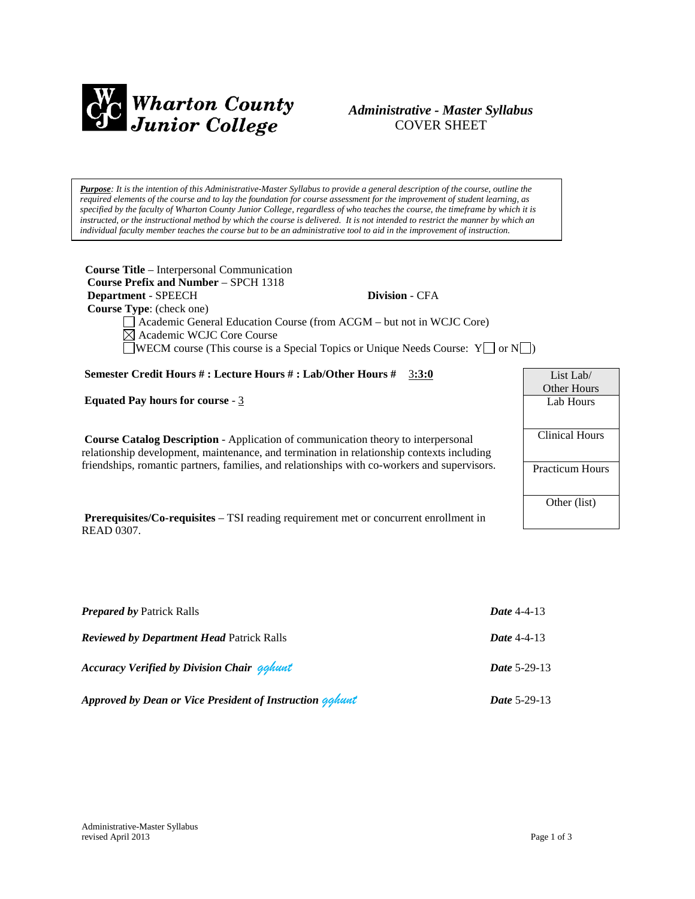

## *Administrative - Master Syllabus*  COVER SHEET

*Purpose: It is the intention of this Administrative-Master Syllabus to provide a general description of the course, outline the required elements of the course and to lay the foundation for course assessment for the improvement of student learning, as specified by the faculty of Wharton County Junior College, regardless of who teaches the course, the timeframe by which it is instructed, or the instructional method by which the course is delivered. It is not intended to restrict the manner by which an individual faculty member teaches the course but to be an administrative tool to aid in the improvement of instruction.*

| <b>Course Title – Interpersonal Communication</b><br><b>Course Prefix and Number – SPCH 1318</b>                                                                                                        |                          |                       |
|---------------------------------------------------------------------------------------------------------------------------------------------------------------------------------------------------------|--------------------------|-----------------------|
| Department - SPEECH<br><b>Course Type:</b> (check one)                                                                                                                                                  | <b>Division - CFA</b>    |                       |
| Academic General Education Course (from ACGM – but not in WCJC Core)<br>$\boxtimes$ Academic WCJC Core Course<br><b>WECM</b> course (This course is a Special Topics or Unique Needs Course: $Y \cap Y$ |                          |                       |
| Semester Credit Hours #: Lecture Hours #: Lab/Other Hours #                                                                                                                                             | 3:3:0                    | List Lab/             |
| <b>Equated Pay hours for course - 3</b>                                                                                                                                                                 | Other Hours<br>Lab Hours |                       |
| <b>Course Catalog Description</b> - Application of communication theory to interpersonal<br>relationship development, maintenance, and termination in relationship contexts including                   |                          | <b>Clinical Hours</b> |
| friendships, romantic partners, families, and relationships with co-workers and supervisors.                                                                                                            | Practicum Hours          |                       |

**Prerequisites/Co-requisites** – TSI reading requirement met or concurrent enrollment in READ 0307.

| <b>Prepared by Patrick Ralls</b>                         | Date $4-4-13$       |
|----------------------------------------------------------|---------------------|
| <b>Reviewed by Department Head Patrick Ralls</b>         | Date $4-4-13$       |
| <b>Accuracy Verified by Division Chair gghunt</b>        | <b>Date 5-29-13</b> |
| Approved by Dean or Vice President of Instruction gahunt | <b>Date 5-29-13</b> |

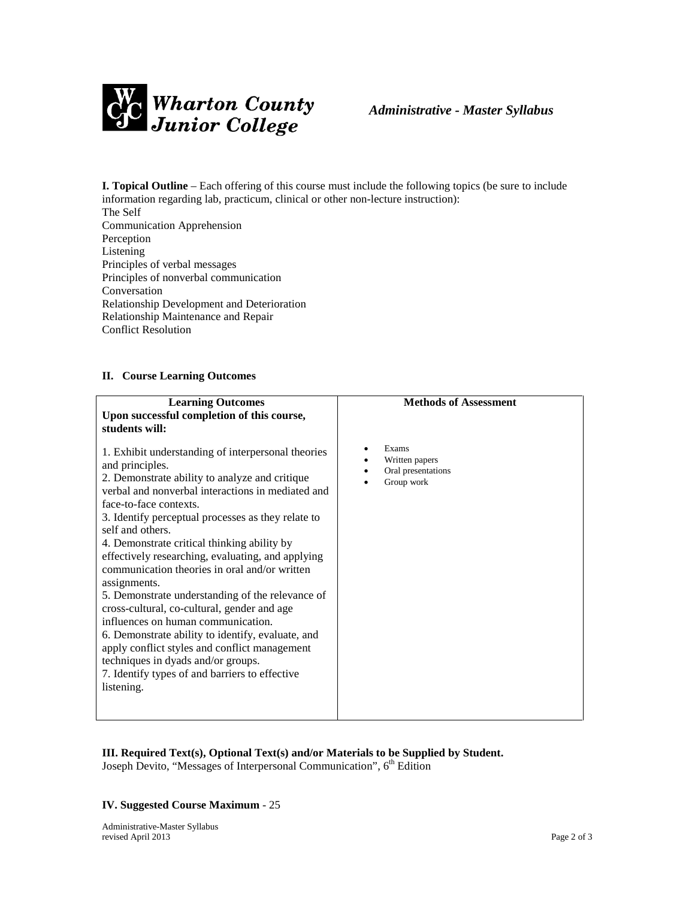

**I. Topical Outline** – Each offering of this course must include the following topics (be sure to include information regarding lab, practicum, clinical or other non-lecture instruction): The Self

Communication Apprehension Perception Listening Principles of verbal messages Principles of nonverbal communication Conversation Relationship Development and Deterioration Relationship Maintenance and Repair Conflict Resolution

## **II. Course Learning Outcomes**

| <b>Learning Outcomes</b><br>Upon successful completion of this course,<br>students will:                                                                                                                                                                                                                                                                                                                                                                                                                                                                                                                                                                                                                                                                                                                   | <b>Methods of Assessment</b>                                |
|------------------------------------------------------------------------------------------------------------------------------------------------------------------------------------------------------------------------------------------------------------------------------------------------------------------------------------------------------------------------------------------------------------------------------------------------------------------------------------------------------------------------------------------------------------------------------------------------------------------------------------------------------------------------------------------------------------------------------------------------------------------------------------------------------------|-------------------------------------------------------------|
| 1. Exhibit understanding of interpersonal theories<br>and principles.<br>2. Demonstrate ability to analyze and critique<br>verbal and nonverbal interactions in mediated and<br>face-to-face contexts.<br>3. Identify perceptual processes as they relate to<br>self and others.<br>4. Demonstrate critical thinking ability by<br>effectively researching, evaluating, and applying<br>communication theories in oral and/or written<br>assignments.<br>5. Demonstrate understanding of the relevance of<br>cross-cultural, co-cultural, gender and age<br>influences on human communication.<br>6. Demonstrate ability to identify, evaluate, and<br>apply conflict styles and conflict management<br>techniques in dyads and/or groups.<br>7. Identify types of and barriers to effective<br>listening. | Exams<br>Written papers<br>Oral presentations<br>Group work |
|                                                                                                                                                                                                                                                                                                                                                                                                                                                                                                                                                                                                                                                                                                                                                                                                            |                                                             |

### **III. Required Text(s), Optional Text(s) and/or Materials to be Supplied by Student.** Joseph Devito, "Messages of Interpersonal Communication", 6<sup>th</sup> Edition

## **IV. Suggested Course Maximum** - 25

Administrative-Master Syllabus revised April 2013 Page 2 of 3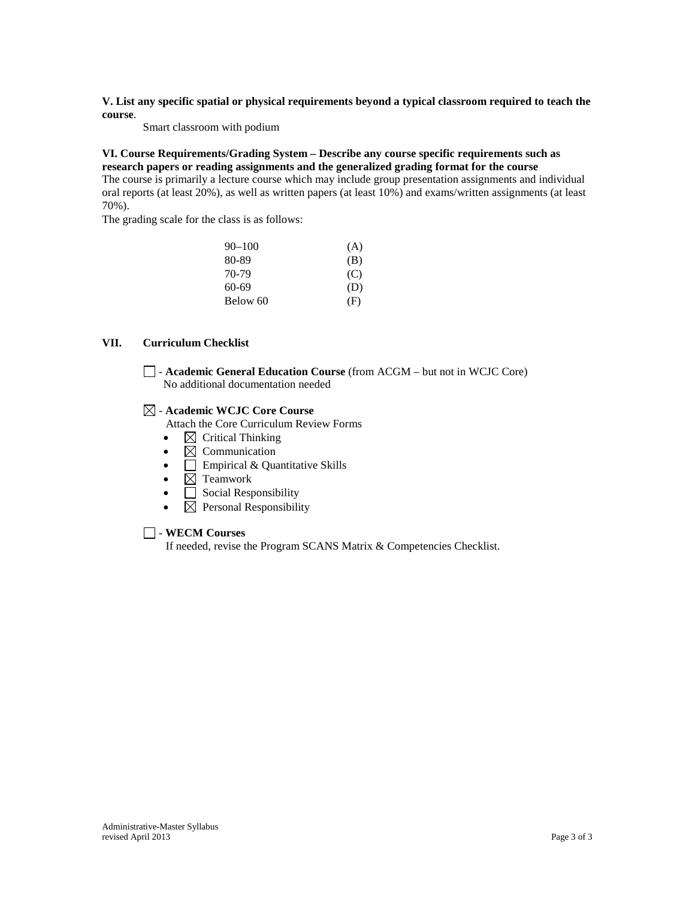**V. List any specific spatial or physical requirements beyond a typical classroom required to teach the course**.

Smart classroom with podium

**VI. Course Requirements/Grading System – Describe any course specific requirements such as research papers or reading assignments and the generalized grading format for the course** The course is primarily a lecture course which may include group presentation assignments and individual oral reports (at least 20%), as well as written papers (at least 10%) and exams/written assignments (at least 70%).

The grading scale for the class is as follows:

| $90 - 100$ | (A) |
|------------|-----|
| 80-89      | (B) |
| 70-79      | (C) |
| 60-69      | (D) |
| Below 60   | (F) |

### **VII. Curriculum Checklist**

- **Academic General Education Course** (from ACGM – but not in WCJC Core) No additional documentation needed

### - **Academic WCJC Core Course**

Attach the Core Curriculum Review Forms

- $\boxtimes$  Critical Thinking
- $\boxtimes$  Communication
- $\Box$  Empirical & Quantitative Skills
- $\boxtimes$  Teamwork
- **Social Responsibility**
- $\boxtimes$  Personal Responsibility

### - **WECM Courses**

If needed, revise the Program SCANS Matrix & Competencies Checklist.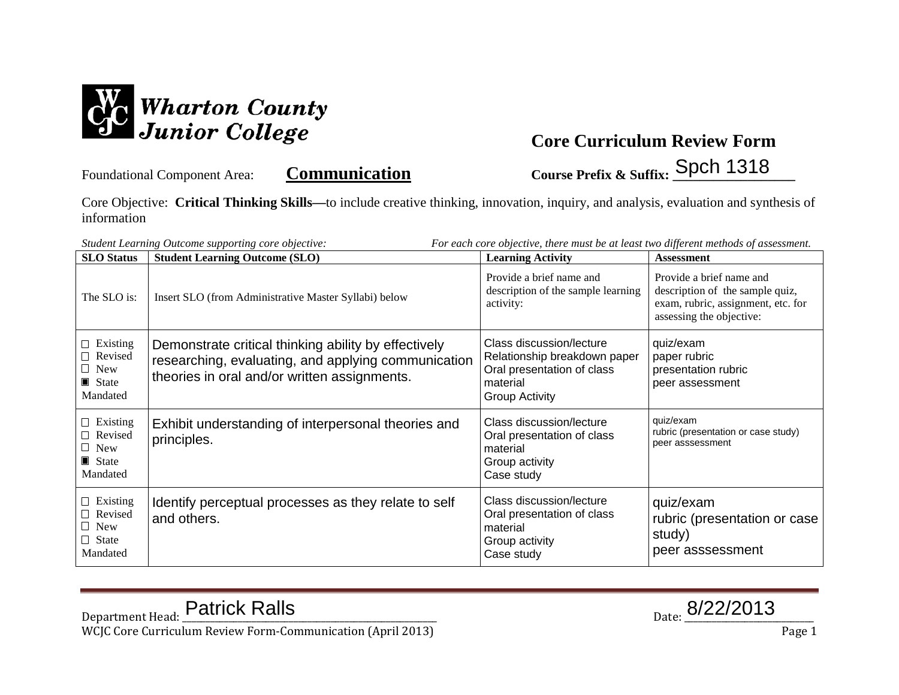

Foundational Component Area: **Communication** Course Prefix & Suffix: Spch 1318

Core Objective: **Critical Thinking Skills—**to include creative thinking, innovation, inquiry, and analysis, evaluation and synthesis of information

| For each core objective, there must be at least two different methods of assessment.<br>Student Learning Outcome supporting core objective: |                                                                                                                                                             |                                                                                                                             |                                                                                                                               |
|---------------------------------------------------------------------------------------------------------------------------------------------|-------------------------------------------------------------------------------------------------------------------------------------------------------------|-----------------------------------------------------------------------------------------------------------------------------|-------------------------------------------------------------------------------------------------------------------------------|
| <b>SLO</b> Status                                                                                                                           | <b>Student Learning Outcome (SLO)</b>                                                                                                                       | <b>Learning Activity</b>                                                                                                    | <b>Assessment</b>                                                                                                             |
| The SLO is:                                                                                                                                 | Insert SLO (from Administrative Master Syllabi) below                                                                                                       | Provide a brief name and<br>description of the sample learning<br>activity:                                                 | Provide a brief name and<br>description of the sample quiz,<br>exam, rubric, assignment, etc. for<br>assessing the objective: |
| $\Box$ Existing<br>Revised<br>$\Box$ New<br>State<br>Mandated                                                                               | Demonstrate critical thinking ability by effectively<br>researching, evaluating, and applying communication<br>theories in oral and/or written assignments. | Class discussion/lecture<br>Relationship breakdown paper<br>Oral presentation of class<br>material<br><b>Group Activity</b> | quiz/exam<br>paper rubric<br>presentation rubric<br>peer assessment                                                           |
| $\Box$ Existing<br>$\Box$ Revised<br>$\Box$ New<br>State<br>Mandated                                                                        | Exhibit understanding of interpersonal theories and<br>principles.                                                                                          | Class discussion/lecture<br>Oral presentation of class<br>material<br>Group activity<br>Case study                          | quiz/exam<br>rubric (presentation or case study)<br>peer asssessment                                                          |
| $\Box$ Existing<br>$\Box$ Revised<br>$\Box$ New<br>$\Box$ State<br>Mandated                                                                 | Identify perceptual processes as they relate to self<br>and others.                                                                                         | Class discussion/lecture<br>Oral presentation of class<br>material<br>Group activity<br>Case study                          | quiz/exam<br>rubric (presentation or case<br>study)<br>peer asssessment                                                       |

$$
_{\text{Date:}}\underline{8/22/2013}
$$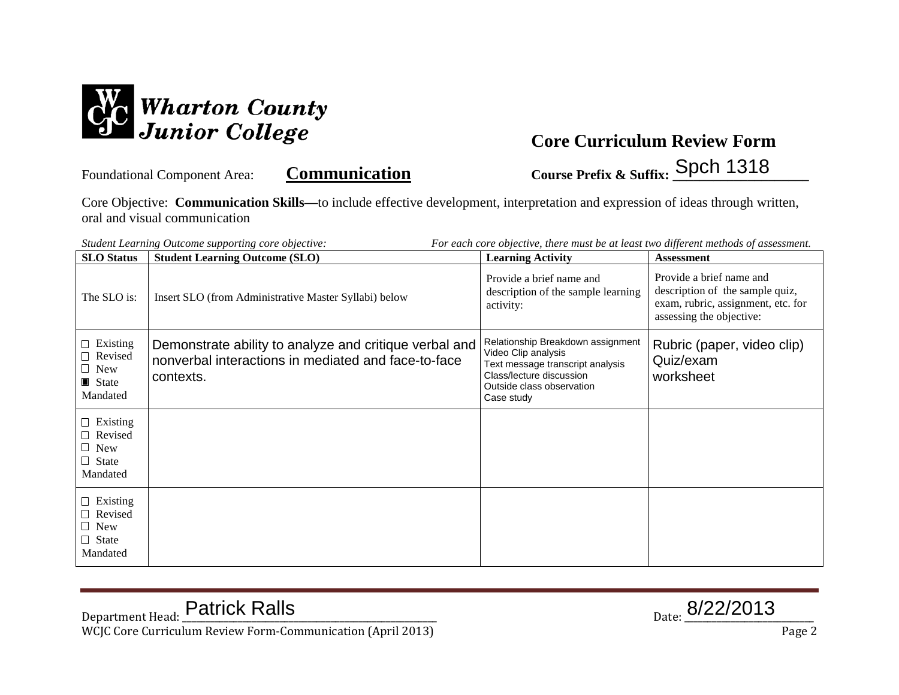

Foundational Component Area: **Communication Course Prefix & Suffix: Spch 1318** 

Core Objective: **Communication Skills—**to include effective development, interpretation and expression of ideas through written, oral and visual communication

| Student Learning Outcome supporting core objective:<br>For each core objective, there must be at least two different methods of assessment. |                                                                                                                            |                                                                                                                                                                     |                                                                                                                               |
|---------------------------------------------------------------------------------------------------------------------------------------------|----------------------------------------------------------------------------------------------------------------------------|---------------------------------------------------------------------------------------------------------------------------------------------------------------------|-------------------------------------------------------------------------------------------------------------------------------|
| <b>SLO</b> Status                                                                                                                           | <b>Student Learning Outcome (SLO)</b>                                                                                      | <b>Learning Activity</b>                                                                                                                                            | <b>Assessment</b>                                                                                                             |
| The SLO is:                                                                                                                                 | Insert SLO (from Administrative Master Syllabi) below                                                                      | Provide a brief name and<br>description of the sample learning<br>activity:                                                                                         | Provide a brief name and<br>description of the sample quiz,<br>exam, rubric, assignment, etc. for<br>assessing the objective: |
| $\Box$ Existing<br>$\Box$ Revised<br>$\Box$ New<br>$\blacksquare$ State<br>Mandated                                                         | Demonstrate ability to analyze and critique verbal and<br>nonverbal interactions in mediated and face-to-face<br>contexts. | Relationship Breakdown assignment<br>Video Clip analysis<br>Text message transcript analysis<br>Class/lecture discussion<br>Outside class observation<br>Case study | Rubric (paper, video clip)<br>Quiz/exam<br>worksheet                                                                          |
| $\Box$ Existing<br>$\Box$ Revised<br>$\Box$ New<br>$\Box$ State<br>Mandated                                                                 |                                                                                                                            |                                                                                                                                                                     |                                                                                                                               |
| $\Box$ Existing<br>$\Box$ Revised<br>$\Box$ New<br>$\Box$ State<br>Mandated                                                                 |                                                                                                                            |                                                                                                                                                                     |                                                                                                                               |

 $_{\text{Date:}}$  8/22/2013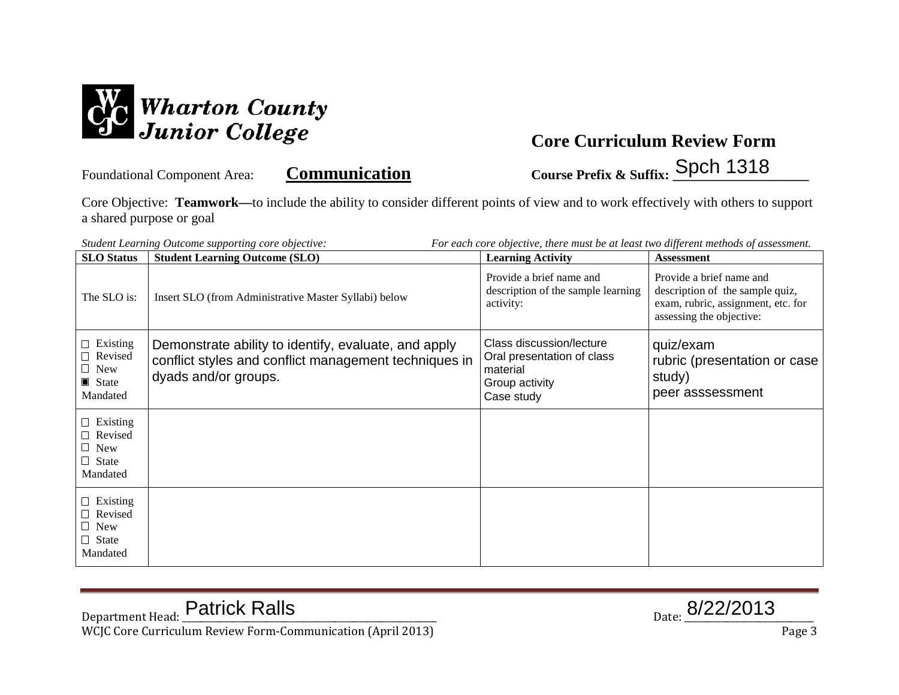

Foundational Component Area: **Communication Course Prefix & Suffix: Spch 1318** 

Core Objective: **Teamwork—**to include the ability to consider different points of view and to work effectively with others to support a shared purpose or goal

| Student Learning Outcome supporting core objective:<br>For each core objective, there must be at least two different methods of assessment. |                                                                                                                                       |                                                                                                         |                                                                                                                                                    |
|---------------------------------------------------------------------------------------------------------------------------------------------|---------------------------------------------------------------------------------------------------------------------------------------|---------------------------------------------------------------------------------------------------------|----------------------------------------------------------------------------------------------------------------------------------------------------|
| <b>SLO</b> Status<br>The SLO is:                                                                                                            | <b>Student Learning Outcome (SLO)</b><br>Insert SLO (from Administrative Master Syllabi) below                                        | <b>Learning Activity</b><br>Provide a brief name and<br>description of the sample learning<br>activity: | <b>Assessment</b><br>Provide a brief name and<br>description of the sample quiz,<br>exam, rubric, assignment, etc. for<br>assessing the objective: |
| $\Box$ Existing<br>$\Box$ Revised<br>$\Box$ New<br>State<br>Mandated                                                                        | Demonstrate ability to identify, evaluate, and apply<br>conflict styles and conflict management techniques in<br>dyads and/or groups. | Class discussion/lecture<br>Oral presentation of class<br>material<br>Group activity<br>Case study      | quiz/exam<br>rubric (presentation or case<br>study)<br>peer asssessment                                                                            |
| $\Box$ Existing<br>$\Box$ Revised<br>$\Box$ New<br>$\Box$ State<br>Mandated                                                                 |                                                                                                                                       |                                                                                                         |                                                                                                                                                    |
| $\Box$ Existing<br>□ Revised<br>$\Box$ New<br>$\Box$ State<br>Mandated                                                                      |                                                                                                                                       |                                                                                                         |                                                                                                                                                    |